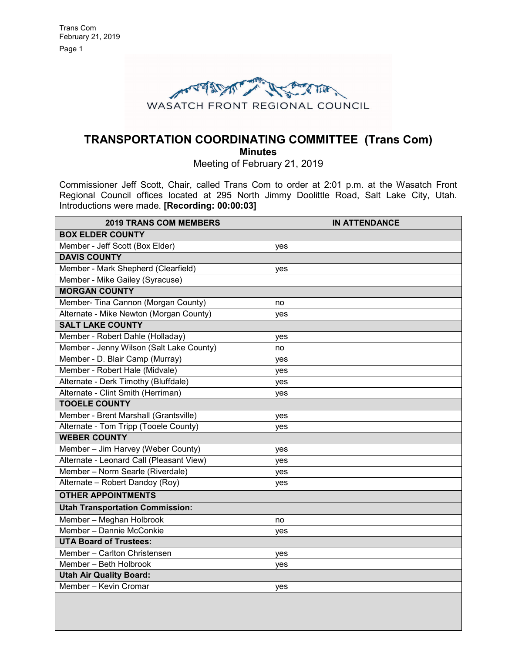

## **TRANSPORTATION COORDINATING COMMITTEE (Trans Com) Minutes**

Meeting of February 21, 2019

Commissioner Jeff Scott, Chair, called Trans Com to order at 2:01 p.m. at the Wasatch Front Regional Council offices located at 295 North Jimmy Doolittle Road, Salt Lake City, Utah. Introductions were made. **[Recording: 00:00:03]**

| <b>2019 TRANS COM MEMBERS</b>            | <b>IN ATTENDANCE</b> |
|------------------------------------------|----------------------|
| <b>BOX ELDER COUNTY</b>                  |                      |
| Member - Jeff Scott (Box Elder)          | yes                  |
| <b>DAVIS COUNTY</b>                      |                      |
| Member - Mark Shepherd (Clearfield)      | yes                  |
| Member - Mike Gailey (Syracuse)          |                      |
| <b>MORGAN COUNTY</b>                     |                      |
| Member- Tina Cannon (Morgan County)      | no                   |
| Alternate - Mike Newton (Morgan County)  | yes                  |
| <b>SALT LAKE COUNTY</b>                  |                      |
| Member - Robert Dahle (Holladay)         | yes                  |
| Member - Jenny Wilson (Salt Lake County) | no                   |
| Member - D. Blair Camp (Murray)          | yes                  |
| Member - Robert Hale (Midvale)           | yes                  |
| Alternate - Derk Timothy (Bluffdale)     | yes                  |
| Alternate - Clint Smith (Herriman)       | yes                  |
| <b>TOOELE COUNTY</b>                     |                      |
| Member - Brent Marshall (Grantsville)    | yes                  |
| Alternate - Tom Tripp (Tooele County)    | yes                  |
| <b>WEBER COUNTY</b>                      |                      |
| Member - Jim Harvey (Weber County)       | yes                  |
| Alternate - Leonard Call (Pleasant View) | yes                  |
| Member - Norm Searle (Riverdale)         | yes                  |
| Alternate - Robert Dandoy (Roy)          | yes                  |
| <b>OTHER APPOINTMENTS</b>                |                      |
| <b>Utah Transportation Commission:</b>   |                      |
| Member - Meghan Holbrook                 | no                   |
| Member - Dannie McConkie                 | yes                  |
| <b>UTA Board of Trustees:</b>            |                      |
| Member - Carlton Christensen             | yes                  |
| Member - Beth Holbrook                   | yes                  |
| <b>Utah Air Quality Board:</b>           |                      |
| Member - Kevin Cromar                    | yes                  |
|                                          |                      |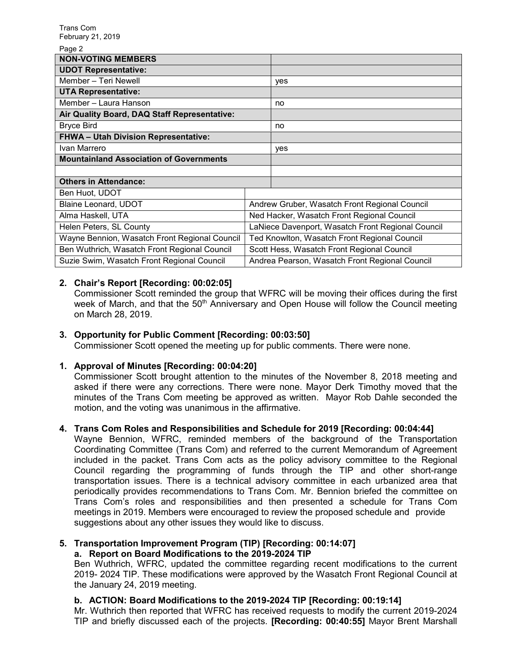Page 2

| <b>NON-VOTING MEMBERS</b>                      |                                                   |     |
|------------------------------------------------|---------------------------------------------------|-----|
| <b>UDOT Representative:</b>                    |                                                   |     |
| Member - Teri Newell                           |                                                   | yes |
| <b>UTA Representative:</b>                     |                                                   |     |
| Member - Laura Hanson                          |                                                   | no  |
| Air Quality Board, DAQ Staff Representative:   |                                                   |     |
| <b>Bryce Bird</b>                              |                                                   | no  |
| <b>FHWA - Utah Division Representative:</b>    |                                                   |     |
| Ivan Marrero                                   |                                                   | yes |
| <b>Mountainland Association of Governments</b> |                                                   |     |
|                                                |                                                   |     |
| <b>Others in Attendance:</b>                   |                                                   |     |
| Ben Huot, UDOT                                 |                                                   |     |
| Blaine Leonard, UDOT                           | Andrew Gruber, Wasatch Front Regional Council     |     |
| Alma Haskell, UTA                              | Ned Hacker, Wasatch Front Regional Council        |     |
| Helen Peters, SL County                        | LaNiece Davenport, Wasatch Front Regional Council |     |
| Wayne Bennion, Wasatch Front Regional Council  | Ted Knowlton, Wasatch Front Regional Council      |     |
| Ben Wuthrich, Wasatch Front Regional Council   | Scott Hess, Wasatch Front Regional Council        |     |
| Suzie Swim, Wasatch Front Regional Council     | Andrea Pearson, Wasatch Front Regional Council    |     |

### **2. Chair's Report [Recording: 00:02:05]**

Commissioner Scott reminded the group that WFRC will be moving their offices during the first week of March, and that the 50<sup>th</sup> Anniversary and Open House will follow the Council meeting on March 28, 2019.

### **3. Opportunity for Public Comment [Recording: 00:03:50]**

Commissioner Scott opened the meeting up for public comments. There were none.

### **1. Approval of Minutes [Recording: 00:04:20]**

Commissioner Scott brought attention to the minutes of the November 8, 2018 meeting and asked if there were any corrections. There were none. Mayor Derk Timothy moved that the minutes of the Trans Com meeting be approved as written. Mayor Rob Dahle seconded the motion, and the voting was unanimous in the affirmative.

### **4. Trans Com Roles and Responsibilities and Schedule for 2019 [Recording: 00:04:44]**

Wayne Bennion, WFRC, reminded members of the background of the Transportation Coordinating Committee (Trans Com) and referred to the current Memorandum of Agreement included in the packet. Trans Com acts as the policy advisory committee to the Regional Council regarding the programming of funds through the TIP and other short-range transportation issues. There is a technical advisory committee in each urbanized area that periodically provides recommendations to Trans Com. Mr. Bennion briefed the committee on Trans Com's roles and responsibilities and then presented a schedule for Trans Com meetings in 2019. Members were encouraged to review the proposed schedule and provide suggestions about any other issues they would like to discuss.

#### **5. Transportation Improvement Program (TIP) [Recording: 00:14:07] a. Report on Board Modifications to the 2019-2024 TIP**

Ben Wuthrich, WFRC, updated the committee regarding recent modifications to the current

# 2019- 2024 TIP. These modifications were approved by the Wasatch Front Regional Council at the January 24, 2019 meeting.

### **b. ACTION: Board Modifications to the 2019-2024 TIP [Recording: 00:19:14]**

Mr. Wuthrich then reported that WFRC has received requests to modify the current 2019-2024 TIP and briefly discussed each of the projects. **[Recording: 00:40:55]** Mayor Brent Marshall